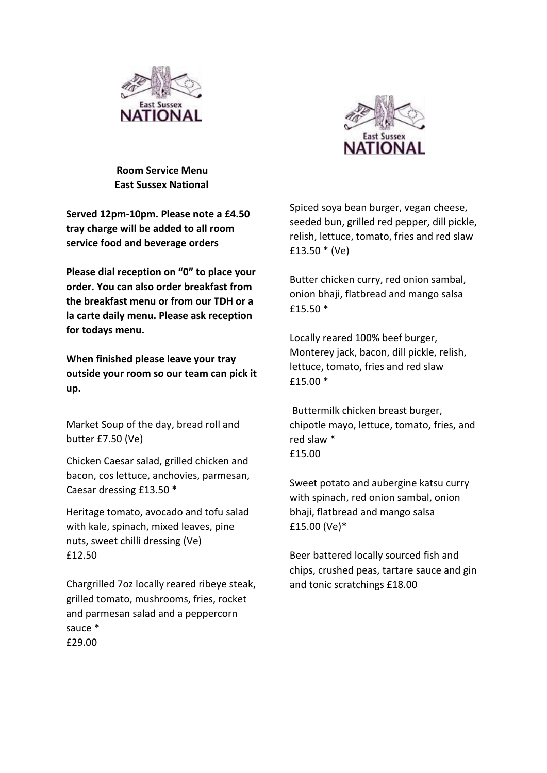



 **Room Service Menu East Sussex National**

**Served 12pm-10pm. Please note a £4.50 tray charge will be added to all room service food and beverage orders**

**Please dial reception on "0" to place your order. You can also order breakfast from the breakfast menu or from our TDH or a la carte daily menu. Please ask reception for todays menu.** 

**When finished please leave your tray outside your room so our team can pick it up.** 

Market Soup of the day, bread roll and butter £7.50 (Ve)

Chicken Caesar salad, grilled chicken and bacon, cos lettuce, anchovies, parmesan, Caesar dressing £13.50 \*

Heritage tomato, avocado and tofu salad with kale, spinach, mixed leaves, pine nuts, sweet chilli dressing (Ve) £12.50

Chargrilled 7oz locally reared ribeye steak, grilled tomato, mushrooms, fries, rocket and parmesan salad and a peppercorn sauce \* £29.00

Spiced soya bean burger, vegan cheese, seeded bun, grilled red pepper, dill pickle, relish, lettuce, tomato, fries and red slaw £13.50 \* (Ve)

Butter chicken curry, red onion sambal, onion bhaji, flatbread and mango salsa £15.50 \*

Locally reared 100% beef burger, Monterey jack, bacon, dill pickle, relish, lettuce, tomato, fries and red slaw £15.00 \*

Buttermilk chicken breast burger, chipotle mayo, lettuce, tomato, fries, and red slaw \* £15.00

Sweet potato and aubergine katsu curry with spinach, red onion sambal, onion bhaji, flatbread and mango salsa £15.00 (Ve)\*

Beer battered locally sourced fish and chips, crushed peas, tartare sauce and gin and tonic scratchings £18.00